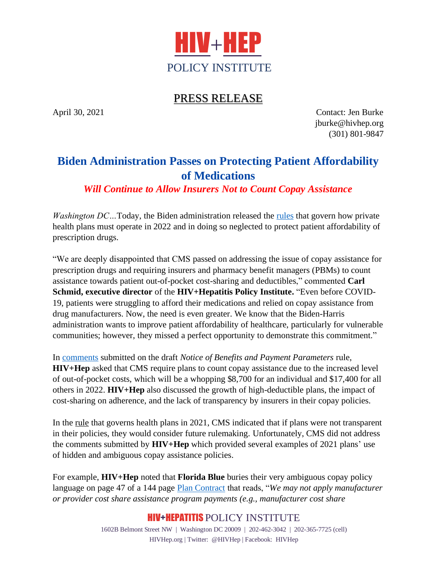

## PRESS RELEASE

April 30, 2021 Contact: Jen Burke jburke@hivhep.org (301) 801-9847

## **Biden Administration Passes on Protecting Patient Affordability of Medications**

*Will Continue to Allow Insurers Not to Count Copay Assistance*

*Washington DC…*Today, the Biden administration released the [rules](https://public-inspection.federalregister.gov/2021-09102.pdf) that govern how private health plans must operate in 2022 and in doing so neglected to protect patient affordability of prescription drugs.

"We are deeply disappointed that CMS passed on addressing the issue of copay assistance for prescription drugs and requiring insurers and pharmacy benefit managers (PBMs) to count assistance towards patient out-of-pocket cost-sharing and deductibles," commented **Carl Schmid, executive director** of the **HIV+Hepatitis Policy Institute.** "Even before COVID-19, patients were struggling to afford their medications and relied on copay assistance from drug manufacturers. Now, the need is even greater. We know that the Biden-Harris administration wants to improve patient affordability of healthcare, particularly for vulnerable communities; however, they missed a perfect opportunity to demonstrate this commitment."

In [comments](http://adobe.ly/3hImfrV) submitted on the draft *Notice of Benefits and Payment Parameters* rule, **HIV+Hep** asked that CMS require plans to count copay assistance due to the increased level of out-of-pocket costs, which will be a whopping \$8,700 for an individual and \$17,400 for all others in 2022. **HIV+Hep** also discussed the growth of high-deductible plans, the impact of cost-sharing on adherence, and the lack of transparency by insurers in their copay policies.

In the [rule](https://s3.amazonaws.com/public-inspection.federalregister.gov/2020-10045.pdf) that governs health plans in 2021, CMS indicated that if plans were not transparent in their policies, they would consider future rulemaking. Unfortunately, CMS did not address the comments submitted by **HIV+Hep** which provided several examples of 2021 plans' use of hidden and ambiguous copay assistance policies.

For example, **HIV+Hep** noted that **Florida Blue** buries their very ambiguous copay policy language on page 47 of a 144 page [Plan Contract](https://www.floridablue.com/plancontracts/individual/file/OTkzMDc3NDp3d3dzYmM%3D) that reads, "*We may not apply manufacturer or provider cost share assistance program payments (e.g., manufacturer cost share* 

## HIV+HEPATITIS POLICY INSTITUTE

1602B Belmont Street NW | Washington DC 20009 | 202-462-3042 | 202-365-7725 (cell) HIVHep.org | Twitter: @HIVHep | Facebook: HIVHep